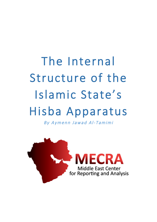# The Internal Structure of the Islamic State's Hisba Apparatus

By Aymenn Jawad Al- Tamimi

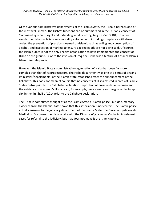Of the various administrative departments of the Islamic State, the Hisba is perhaps one of the most well-known. The Hisba's functions can be summarized in the Qur'anic concept of 'commanding what is right and forbidding what is wrong' (e.g. Qur'an 3:104). In other words, the Hisba's role is Islamic morality enforcement, including compliance with dress codes, the prevention of practices deemed un-Islamic such as selling and consumption of alcohol, and inspection of markets to ensure expired goods are not being sold. Of course, the Islamic State is not the only jihadist organization to have implemented the concept of Hisba on the ground. Prior to the invasion of Iraq, the Hisba was a feature of Ansar al-Islam's Islamic emirate project.

However, the Islamic State's administrative organization of Hisba has been far more complex than that of its predecessors. The Hisba department was one of a series of diwans (ministries/departments) of the Islamic State established after the announcement of the Caliphate. This does not mean of course that no concepts of Hisba existed in areas of Islamic State control prior to the Caliphate declaration: imposition of dress codes on women and the existence of a women's Hisba team, for example, were already on the ground in Raqqa city in the first half of 2014 prior to the Caliphate declaration.

The Hisba is sometimes thought of as the Islamic State's 'Islamic police,' but documentary evidence from the Islamic State shows that this association is not correct. The Islamic police actually answers to the judiciary department of the Islamic State: the Diwan al-Qada wa al-Madhalim. Of course, the Hisba works with the Diwan al-Qada wa al-Madhalim in relevant cases for referral to the judiciary, but that does not make it the Islamic police.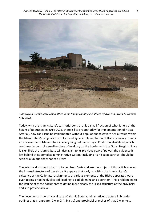

*A destroyed Islamic State Hisba office in the Raqqa countryside. Photo by Aymenn Jawad Al-Tamimi, May 2018.*

Today, with the Islamic State's territorial control only a small fraction of what it held at the height of its success in 2014-2015, there is little room today for implementation of Hisba. After all, how can Hisba be implemented without populations to govern? As a result, within the Islamic State's original core of Iraq and Syria, implementation of Hisba is mainly found in an enclave that is Islamic State in everything but name: Jaysh Khalid bin al-Waleed, which continues to control a small enclave of territory on the border with the Golan Heights. Since it is unlikely the Islamic State will rise again to its previous peak of power, the evidence it left behind of its complex administrative system- including its Hisba apparatus- should be seen as a unique snapshot of history.

The internal documents that I obtained from Syria and are the subject of this article concern the internal structure of the Hisba. It appears that early on within the Islamic State's existence as the Caliphate, assignments of various elements of the Hisba apparatus were overlapping or being duplicated, leading to bad planning and operation. This problem led to the issuing of these documents to define more clearly the Hisba structure at the provincial and sub-provincial level.

The documents show a typical case of Islamic State administrative structure in broader outline: that is, a greater Diwan X (ministry) and provincial branches of that Diwan (e.g.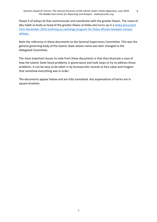Diwan X of wilaya A) that communicate and coordinate with the greater Diwan. The name of Abu Saleh al-Arabi as head of the greater Diwan al-Hisba also turns up in a Hisba document from November 2014 outlining an exchange program for Hisba officials between various wilayas. 

Note the reference in these documents to the General Supervisory Committee. This was the general governing body of the Islamic State whose name was later changed to the Delegated Committee. 

The most important lesson to note from these documents is that they illustrate a case of how the Islamic State faced problems in governance and took steps to try to address those problems. It can be easy to be taken in by bureaucratic records at face value and imagine that somehow everything was in order.

The documents appear below and are fully translated. Any explanations of terms are in square brackets.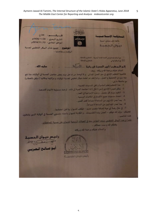الدرق م: 29/ح السدواسة الإسسلامي التاريخ البجري: 1/20/1436هـ كافة غلى منماج النبوة الموافق الميلادي: 13/ 2014/11 دينوان التدسيدة المضمع : تميم بشأن البيكل التنظيمي لحسبة الولايات و مفاصلها .. مع السلام للمشارع في اللجنة العامة المشرفة \_ للاختلاج و الإحاطة . للإملاح والإخاطة لكتابع تستم توالى  $a\sqrt{u}$ . all dolus الع المكرم / أمير المسبة في ولاية السلام عليكم ورحمة الله وبركاته .. وبعد: قلاَّهمية التنظيم الإداري في سير العمل المداني ، و لما لوحظ من تداخل ميام بعض مفاصل الحسبة في الولايات ممّا نتج عنه سوء في التخطيط و العمل .. و لذا فقد تم اعتماد هيكل تنظيمي لحسبة الولايات و مراكزها ومكاتبها ( مرفق بالخطاب) مع ملاحظة ما يلى: 1- هذا التنظيم يُعتبر أساسياً وتُنفى المسبات القديمة . 2- يُمكن فصل (الإداري ) عن (المالي ) إذا احتاجت الجبة إلى ذلك . أو ضمّ مسئولية الأليات لأحدهما . 3- التقيد بمبام كل مفصل . وعده الإدواجية في العمل . 4- اعتماد مسعيات جميع الأقسام في الكاتبات الرسمية . 5- يبدأ عمل الإداريين من الساعة 9 صباحاً كعد أقصى . 6- يبدأ عمل المدانيين من الساعة 8 صباحاً . 7- في حال رغبة أي جهة إضافة منصب حديد – فيُكتب للديوان بها قبل اعتمادها . فعليكم - يارك الله فيكم – العمل بهذه التقسيمات ، و الكتابة للديوان بأسماء منسوبي الحسبة في الولاية الذين يشغلون<br>هذه التناصيب هذه المناصب علماً أنَّ هذا البيكل التنظيمي سبتم التعامل بعه في الجولات الرسمية للديوان على حسبة الحافظات. وفقكم الله وسدد خطاكم... والسلام عليكم ورحمة الله وبركاته رنيس نيوان المسبة der Trees بنوصالح التعريبي ليس ديوان الحسب ع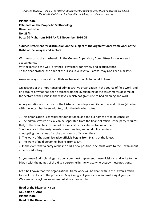**Islamic State Caliphate on the Prophetic Methodology Diwan al-Hisba No. 29/h** Date: 20 Muharram 1436 AH/13 November 2014 CE

# **Subject: statement for distribution on the subject of the organizational framework of the Hisba of the wilayas and sectors**

With regards to the mashayakh in the General Supervisory Committee- for review and acquaintance.

With regards to the wali [provincial governor], for review and acquaintance. To the dear brother, the amir of the Hisba in Wilayat al-Baraka, may God keep him safe.

As-salam alaykum wa rahmat Allah wa barakatuhu. As for what follows:

On account of the importance of administrative organization in the course of field work, and on account of what has been noticed from the overlapping of the assignments of some of the sectors of the Hisba in the wilayas, which has given rise to bad planning and work:

An organizational structure for the Hisba of the wilayas and its centres and offices (attached with the letter) has been adopted, with the following notes:

1. This organization is considered foundational, and the old names are to be cancelled.

2. The administrative official can be separated from the financial official if the party requires that, or there can be inclusion of responsibility for vehicles to one of them.

3. Adherence to the assignments of each sector, and no duplication in work.

4. Adopting the names of all the divisions in official writings.

5. The work of the administrative officials begins from 9 a.m. at the latest.

6. The work of field personnel begins from 8 a.m.

7. In the event that a party wishes to add a new position, one must write to the Diwan about it before adopting it.

So you- may God's blessings be upon you- must implement these divisions, and write to the Diwan with the names of the Hisba personnel in the wilaya who occupy these positions.

Let it be known that this organizational framework will be dealt with in the Diwan's official tours of the Hisba of the provinces. May God grant you success and make right your path. Wa as-salam alaykum wa rahmat Allah wa barakatuhu.

**Head of the Diwan al-Hisba Abu Saleh al-Arabi Islamic State Head of the Diwan al-Hisba**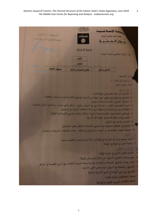وعاسة الاسطلا مسمسة خلقة على منماج النبوة وان الدسية حسبة الرقيات أولاً، البيكل التنظيمي لعسية الولاية : ناظري التسبية في الزاكر الإداري والمالي كاتبا التسبية:  $[-3/2, 3]$  and  $[-3/2, 3]$ فثلثنا المضاح المناود الدالهة العميلة 1- الإشراف على عمل الحسبة في الولاية كاملة . 2- التلسيق مع الوالي فيما يخص أمور الولاية من الناحية العسكرية كالاستنشارات و الرباط و خلافيتها . 3- استقبال المتروزين البقدد للمسية وتوجيهم . 4- إصدار التعليمات و الأوامر - بعد التلسيق مع الديوان و الوالي - يشكل خطي حصراً . و لا تُقبل الأوامر الشفيية 5- الكتابة للديوان في الحالات المستعجلة أو في حالة الإشكالات الإدارية مع المسئولين 6- رفع نقارير العمل لديوان الحسبة بصفة شهربة . و كذلك بيانات متسوبي الحسبة في الولاية . 7- القيام بزبارات لمراكز الحسبة في الولاية كل 15 بوماً 8- التواصل المنتمر مع الديوان. 9- التحقيق في الشكاوى المرفوعة صد ملسوبي الحسبة أو تشكيل لجان للنظر فيها . 10- مخاطبة الجبات المختصات من البينات و الدواوين في الولاية – بشأن المخالفات الشرعية و المنكرات 1- القيام بجميع ميام أمير الحسبة في الولاية في حالة عدم تواجده أو تكليفه رسمياً 2- منابعة العمل في المراكز في الولاية . نا- الإداري والمالي - القيام بالعمل الإداري في حسبة الولاية . جمع و إعداد التقارير الشيرية عن مراكز الحسبة في الولاية . .<br>اعداد يمانات منسوبي الحسبة في الولاية و تحديثها بصفة شهرية بالتعاون مع إداريي الحسبة في المراكز . التنسيق والمتابعة مع الديوان فيما يخص الأمور الإدارية . التنسيق مع إداري الولاية في الأمور الإدارية والمالية صرف استحقاقات المراكز المالية . استلام الكفالات الشهرية للإخوة و توزيعها .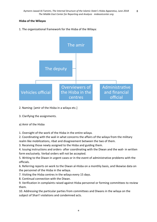#### **Hisba of the Wilayas**

1. The organizational framework for the Hisba of the Wilaya:



## 2. Naming: [amir of the Hisba in a wilaya etc.]

3. Clarifying the assignments.

#### a) Amir of the Hisba

1. Oversight of the work of the Hisba in the entire wilaya.

2. Coordinating with the wali in what concerns the affairs of the wilaya from the military realm like mobilizations, ribat and disagreement between the two of them.

3. Receiving those newly assigned to the Hisba and guiding them.

4. Issuing instructions and orders- after coordinating with the Diwan and the wali- in written form exclusively. Verbal orders will not be accepted.

5. Writing to the Diwan in urgent cases or in the event of administrative problems with the officials.

6. Referring reports on work to the Diwan al-Hisba on a monthly basis, and likewise data on the personnel of the Hisba in the wilaya.

7. Visiting the Hisba centres in the wilaya every 15 days.

8. Continual connection with the Diwan.

9. Verification in complaints raised against Hisba personnel or forming committees to review them.

10. Addressing the particular parties from committees and Diwans in the wilaya on the subject of Shari'i violations and condemned acts.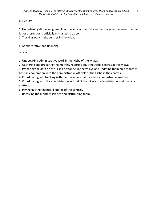# b) Deputy

1. Undertaking all the assignments of the amir of the Hisba in the wilaya in the event that he is not present or is officially entrusted to do so.

2. Tracking work in the centres in the wilaya.

c) Administrative and financial

official

1. Undertaking administrative work in the Hisba of the wilaya.

2. Gathering and preparing the monthly reports about the Hisba centres in the wilaya.

3. Preparing the data on the Hisba personnel in the wilaya and updating them on a monthly

basis in cooperation with the administrative officials of the Hisba in the centres.

4. Coordinating and tracking with the Diwan in what concerns administrative matters.

5. Coordinating with the administrative official of the wilaya in administrative and financial matters.

6. Paying out the financial benefits of the centres.

7. Receiving the monthly salaries and distributing them.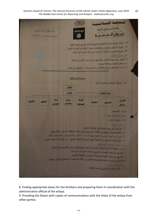Aymenn Jawad Al-Tamimi, The Internal Structure of the Islamic State's Hisba Apparatus, June 2018 The Middle East Center for Reporting and Analysis mideastcenter.org 10



8. Finding appropriate bases for the brothers and preparing them in coordination with the administrative official of the wilaya.

9. Providing the Diwan with copies of communications with the Hisba of the wilaya from other parties.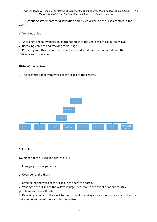10. Distributing statements for distribution and issued orders to the Hisba centres in the wilaya.

d) Vehicles official

1. Working to repair vehicles in coordination with the vehicles official in the wilaya.

2. Receiving vehicles and tracking their usage.

3. Preparing monthly inventories on vehicles and what has been repaired, and the deficiencies in operation.

#### **Hisba of the centres**

1. The organizational framework of the Hisba of the centres



2. Naming:

[Overseer of the Hisba in a centre etc...]

3. Clarifying the assignments.

a) Overseer of the Hisba

1. Overseeing the work of the Hisba in the centre or area.

2. Writing to the Hisba of the wilaya in urgent casesor in the event of administrative problems with the officials.

3. Referring reports on the work to the Hisba of the wilaya on a monthly basis, and likewise data on personnel of the Hisba in the centre.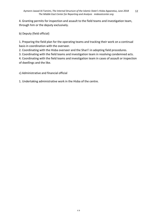4. Granting permits for inspection and assault to the field teams and investigation team, through him or the deputy exclusively.

b) Deputy (field official)

1. Preparing the field plan for the operating teams and tracking their work on a continual basis in coordination with the overseer.

2. Coordinating with the Hisba overseer and the Shari'i in adopting field procedures.

3. Coordinating with the field teams and investigation team in resolving condemned acts.

4. Coordinating with the field teams and investigation team in cases of assault or inspection of dwellings and the like.

c) Administrative and financial official

1. Undertaking administrative work in the Hisba of the centre.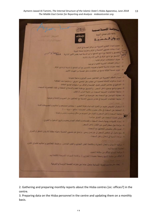

2. Gathering and preparing monthly reports about the Hisba centres [sic: offices?] in the centre.

3. Preparing data on the Hisba personnel in the centre and updating them on a monthly basis.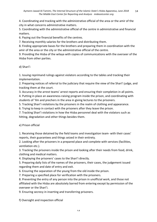4. Coordinating and tracking with the administrative official of the area or the amir of the city in what concerns administrative matters.

5. Coordinating with the administrative official of the centre in administrative and financial matters.

6. Paying out the financial benefits of the centres.

7. Receiving monthly salaries for the brothers and distributing them.

8. Finding appropriate bases for the brothers and preparing them in coordination with the amir of the area or the city or the administrative official of the centre.

9. Providing the Hisba of the wilaya with copies of communications with the overseer of the Hisba from other parties.

## d) Shari'i

1. Issuing reprimand rulings against violators according to the tables and tracking their implementation.

2. Preparing notices of referral to the judiciary that require the view of the Shari'i judge, and tracking them at the court.

3. Accuracy in the arrest teams' arrest reports and ensuring their completion in all points.

4. Putting in place an awareness-raising program inside the prison, and coordinating with students of 'Ilm and prechers in the area in giving lectures to the prisoners.

5. Tracking Shari'i violations by the prisoners in the realm of clothing and appearance.

6. Trying to keep in contact with the prisoners after they leave the prison.

7. Tracking Shari'i violations in how the Hisba personnel deal with the violators such as hitting, degradation and other things besides them.

#### e) Prison official

1. Receiving those detained by the field teams and investigation team- with their cases' reports, their guarantees and things seized in their entirety.

2. Looking after the prisoners in a prepared place and complete with services (facilities, ventilation etc.).

3. Tracking the prisoners inside the prison and looking after their needs from food, drink, clothing and medical matters.

4. Displaying the prisoners' cases to the Shari'i directly.

5. Preparing daily lists of the names of the prisoners, their cases, the judgement issued regarding them and date of entry and exit.

6. Ensuring the separation of the young from the old inside the prison.

7. Preparing a specified place for verification with the prisoners.

8. Preventing the entry of any person into the prison in unofficial work, and those not affiliated with the Hisba are absolutely barred from entering except by permission of the overseer or the Shari'i.

9. Ensuring secrecy in inserting and transferring prisoners.

f) Oversight and inspection official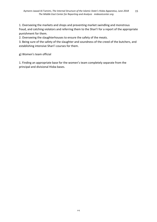1. Overseeing the markets and shops and preventing market swindling and monstrous fraud, and catching violators and referring them to the Shari'i for a report of the appropriate punishment for them.

2. Overseeing the slaughterhouses to ensure the safety of the meats.

3. Being sure of the safety of the slaughter and soundness of the creed of the butchers, and establishing intensive Shari'i courses for them.

g) Women's team official

1. Finding an appropriate base for the women's team completely separate from the principal and divisional Hisba bases.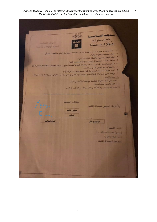| الصدواسة الإسكلامسيسة<br>للأفة غلى منماج النبوة<br>للإنم اللالك                                                                                                                                                                                                                                                                                                                                                                                                                                                                                                                                                                                                                                                                                                                                                                     |
|-------------------------------------------------------------------------------------------------------------------------------------------------------------------------------------------------------------------------------------------------------------------------------------------------------------------------------------------------------------------------------------------------------------------------------------------------------------------------------------------------------------------------------------------------------------------------------------------------------------------------------------------------------------------------------------------------------------------------------------------------------------------------------------------------------------------------------------|
| المركل الشناسي<br>ديــوان الــمــســبــة<br>Ø<br>المسبك الوقول وعانه واست                                                                                                                                                                                                                                                                                                                                                                                                                                                                                                                                                                                                                                                                                                                                                           |
| 2- متابعة جميع ما يخص القساء و ما يجدث مين من مخالفات شرعية مثل اللياس والتَّمص والتعطر.<br>صرف مستحقات الأخوات المالية .<br>4- توفير الحجاب الشوعي مع الغرقة النسالية الميدانية .<br>5- متابعة الخالفات الشرعية في المعلات التجارية الخصصة لللساء .<br>6- القيام بجولات على المدارس والمعاهد و الكليات اللسانية لتقديم النصح . وضيط الخالفات و الكتابة قبيا لناظر المركز<br>7- مناصحة من بتم القبض علينٌ من اللساء<br>8- [حراء عمليات [ الأستشمام ] في حال كون المهمة بتعاطي المسكر [ امرأة ] .<br>9- . مرافقة الفرق المدانية أو فرقة التعري للمداهمة و التفتيش في حال كون المراد القبض علينَ [ تساء ] ما أمكن ذلك<br><u>دا – مستر، الألوات،</u> و<br>1- العمل على صيانة الأليات بالتلسيق مع مسلول الأليات في المركز .<br>2- استلام الأليات ومنايعة صرفيا .<br>3- إعداد كشوفات شهرية بالأليات وما تمّ صيانته . والتواقص في العمل . |
| وكاتب الصبية<br>أُولاً - الهيكل التنظيمي للحسبة في المكانب :<br>مستول المكتب<br>التائب                                                                                                                                                                                                                                                                                                                                                                                                                                                                                                                                                                                                                                                                                                                                              |
| الغرق المدائمة<br>الإداري و المالي<br>لتسبب اللسمية:<br>ا مسئول مكتب الحسبة في - أ<br>شاشد ايضاح الميام:<br>لسير عمل الحسبة في المنطقة .                                                                                                                                                                                                                                                                                                                                                                                                                                                                                                                                                                                                                                                                                            |
|                                                                                                                                                                                                                                                                                                                                                                                                                                                                                                                                                                                                                                                                                                                                                                                                                                     |